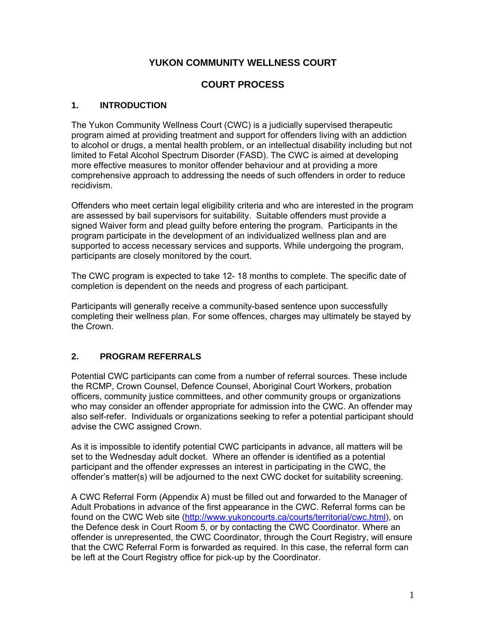# **YUKON COMMUNITY WELLNESS COURT**

# **COURT PROCESS**

## **1. INTRODUCTION**

The Yukon Community Wellness Court (CWC) is a judicially supervised therapeutic program aimed at providing treatment and support for offenders living with an addiction to alcohol or drugs, a mental health problem, or an intellectual disability including but not limited to Fetal Alcohol Spectrum Disorder (FASD). The CWC is aimed at developing more effective measures to monitor offender behaviour and at providing a more comprehensive approach to addressing the needs of such offenders in order to reduce recidivism.

Offenders who meet certain legal eligibility criteria and who are interested in the program are assessed by bail supervisors for suitability. Suitable offenders must provide a signed Waiver form and plead guilty before entering the program. Participants in the program participate in the development of an individualized wellness plan and are supported to access necessary services and supports. While undergoing the program, participants are closely monitored by the court.

The CWC program is expected to take 12- 18 months to complete. The specific date of completion is dependent on the needs and progress of each participant.

Participants will generally receive a community-based sentence upon successfully completing their wellness plan. For some offences, charges may ultimately be stayed by the Crown.

# **2. PROGRAM REFERRALS**

Potential CWC participants can come from a number of referral sources. These include the RCMP, Crown Counsel, Defence Counsel, Aboriginal Court Workers, probation officers, community justice committees, and other community groups or organizations who may consider an offender appropriate for admission into the CWC. An offender may also self-refer. Individuals or organizations seeking to refer a potential participant should advise the CWC assigned Crown.

As it is impossible to identify potential CWC participants in advance, all matters will be set to the Wednesday adult docket. Where an offender is identified as a potential participant and the offender expresses an interest in participating in the CWC, the offender's matter(s) will be adjourned to the next CWC docket for suitability screening.

A CWC Referral Form (Appendix A) must be filled out and forwarded to the Manager of Adult Probations in advance of the first appearance in the CWC. Referral forms can be found on the CWC Web site [\(http://www.yukoncourts.ca/courts/territorial/cwc.html](http://www.yukoncourts.ca/courts/territorial/cwc.html)), on the Defence desk in Court Room 5, or by contacting the CWC Coordinator. Where an offender is unrepresented, the CWC Coordinator, through the Court Registry, will ensure that the CWC Referral Form is forwarded as required. In this case, the referral form can be left at the Court Registry office for pick-up by the Coordinator.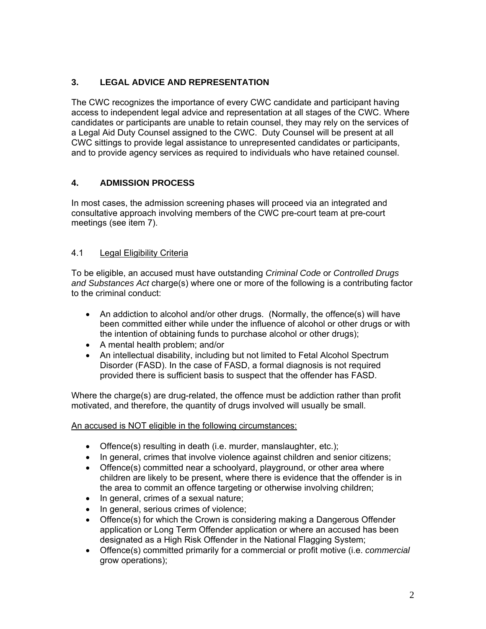# **3. LEGAL ADVICE AND REPRESENTATION**

The CWC recognizes the importance of every CWC candidate and participant having access to independent legal advice and representation at all stages of the CWC. Where candidates or participants are unable to retain counsel, they may rely on the services of a Legal Aid Duty Counsel assigned to the CWC. Duty Counsel will be present at all CWC sittings to provide legal assistance to unrepresented candidates or participants, and to provide agency services as required to individuals who have retained counsel.

## **4. ADMISSION PROCESS**

In most cases, the admission screening phases will proceed via an integrated and consultative approach involving members of the CWC pre-court team at pre-court meetings (see item 7).

## 4.1 Legal Eligibility Criteria

To be eligible, an accused must have outstanding *Criminal Code* or *Controlled Drugs and Substances Act* charge(s) where one or more of the following is a contributing factor to the criminal conduct:

- An addiction to alcohol and/or other drugs. (Normally, the offence(s) will have been committed either while under the influence of alcohol or other drugs or with the intention of obtaining funds to purchase alcohol or other drugs);
- A mental health problem; and/or
- An intellectual disability, including but not limited to Fetal Alcohol Spectrum Disorder (FASD). In the case of FASD, a formal diagnosis is not required provided there is sufficient basis to suspect that the offender has FASD.

Where the charge(s) are drug-related, the offence must be addiction rather than profit motivated, and therefore, the quantity of drugs involved will usually be small.

#### An accused is NOT eligible in the following circumstances:

- Offence(s) resulting in death (i.e. murder, manslaughter, etc.);
- In general, crimes that involve violence against children and senior citizens;
- Offence(s) committed near a schoolyard, playground, or other area where children are likely to be present, where there is evidence that the offender is in the area to commit an offence targeting or otherwise involving children;
- In general, crimes of a sexual nature;
- In general, serious crimes of violence;
- Offence(s) for which the Crown is considering making a Dangerous Offender application or Long Term Offender application or where an accused has been designated as a High Risk Offender in the National Flagging System;
- Offence(s) committed primarily for a commercial or profit motive (i.e. *commercial* grow operations);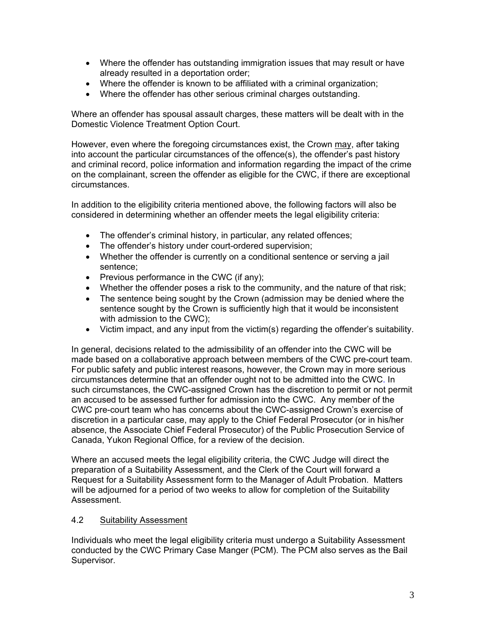- Where the offender has outstanding immigration issues that may result or have already resulted in a deportation order;
- Where the offender is known to be affiliated with a criminal organization;
- Where the offender has other serious criminal charges outstanding.

Where an offender has spousal assault charges, these matters will be dealt with in the Domestic Violence Treatment Option Court.

However, even where the foregoing circumstances exist, the Crown may, after taking into account the particular circumstances of the offence(s), the offender's past history and criminal record, police information and information regarding the impact of the crime on the complainant, screen the offender as eligible for the CWC, if there are exceptional circumstances.

In addition to the eligibility criteria mentioned above, the following factors will also be considered in determining whether an offender meets the legal eligibility criteria:

- The offender's criminal history, in particular, any related offences;
- The offender's history under court-ordered supervision;
- Whether the offender is currently on a conditional sentence or serving a jail sentence;
- Previous performance in the CWC (if any);
- Whether the offender poses a risk to the community, and the nature of that risk;
- The sentence being sought by the Crown (admission may be denied where the sentence sought by the Crown is sufficiently high that it would be inconsistent with admission to the CWC);
- Victim impact, and any input from the victim(s) regarding the offender's suitability.

In general, decisions related to the admissibility of an offender into the CWC will be made based on a collaborative approach between members of the CWC pre-court team. For public safety and public interest reasons, however, the Crown may in more serious circumstances determine that an offender ought not to be admitted into the CWC. In such circumstances, the CWC-assigned Crown has the discretion to permit or not permit an accused to be assessed further for admission into the CWC. Any member of the CWC pre-court team who has concerns about the CWC-assigned Crown's exercise of discretion in a particular case, may apply to the Chief Federal Prosecutor (or in his/her absence, the Associate Chief Federal Prosecutor) of the Public Prosecution Service of Canada, Yukon Regional Office, for a review of the decision.

Where an accused meets the legal eligibility criteria, the CWC Judge will direct the preparation of a Suitability Assessment, and the Clerk of the Court will forward a Request for a Suitability Assessment form to the Manager of Adult Probation. Matters will be adjourned for a period of two weeks to allow for completion of the Suitability Assessment.

#### 4.2 Suitability Assessment

Individuals who meet the legal eligibility criteria must undergo a Suitability Assessment conducted by the CWC Primary Case Manger (PCM). The PCM also serves as the Bail Supervisor.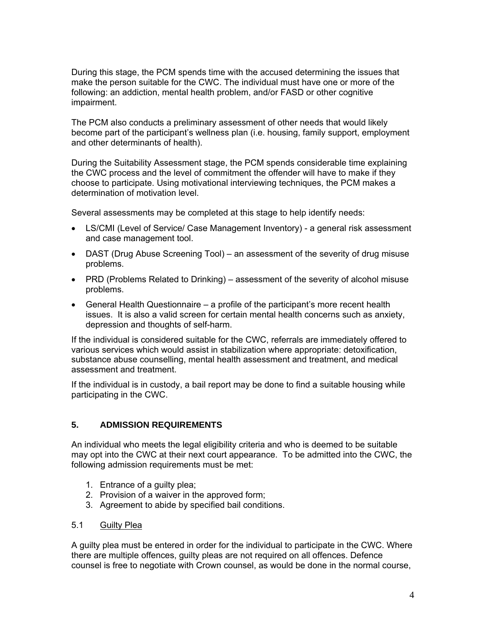During this stage, the PCM spends time with the accused determining the issues that make the person suitable for the CWC. The individual must have one or more of the following: an addiction, mental health problem, and/or FASD or other cognitive impairment.

The PCM also conducts a preliminary assessment of other needs that would likely become part of the participant's wellness plan (i.e. housing, family support, employment and other determinants of health).

During the Suitability Assessment stage, the PCM spends considerable time explaining the CWC process and the level of commitment the offender will have to make if they choose to participate. Using motivational interviewing techniques, the PCM makes a determination of motivation level.

Several assessments may be completed at this stage to help identify needs:

- LS/CMI (Level of Service/ Case Management Inventory) a general risk assessment and case management tool.
- DAST (Drug Abuse Screening Tool) an assessment of the severity of drug misuse problems.
- PRD (Problems Related to Drinking) assessment of the severity of alcohol misuse problems.
- General Health Questionnaire a profile of the participant's more recent health issues. It is also a valid screen for certain mental health concerns such as anxiety, depression and thoughts of self-harm.

If the individual is considered suitable for the CWC, referrals are immediately offered to various services which would assist in stabilization where appropriate: detoxification, substance abuse counselling, mental health assessment and treatment, and medical assessment and treatment.

If the individual is in custody, a bail report may be done to find a suitable housing while participating in the CWC.

#### **5. ADMISSION REQUIREMENTS**

An individual who meets the legal eligibility criteria and who is deemed to be suitable may opt into the CWC at their next court appearance. To be admitted into the CWC, the following admission requirements must be met:

- 1. Entrance of a guilty plea;
- 2. Provision of a waiver in the approved form;
- 3. Agreement to abide by specified bail conditions.

#### 5.1 Guilty Plea

A guilty plea must be entered in order for the individual to participate in the CWC. Where there are multiple offences, guilty pleas are not required on all offences. Defence counsel is free to negotiate with Crown counsel, as would be done in the normal course,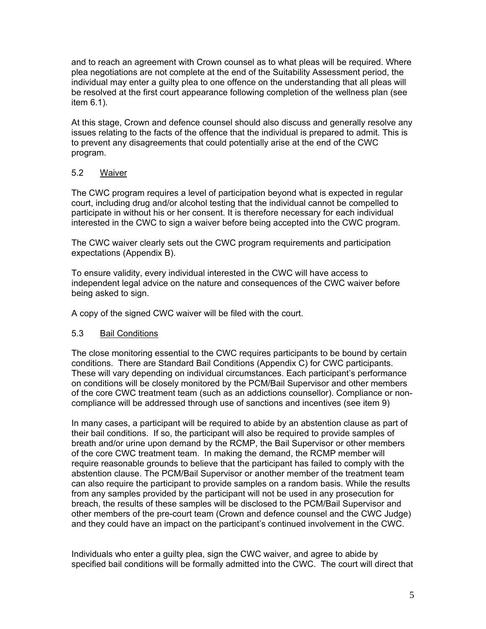and to reach an agreement with Crown counsel as to what pleas will be required. Where plea negotiations are not complete at the end of the Suitability Assessment period, the individual may enter a guilty plea to one offence on the understanding that all pleas will be resolved at the first court appearance following completion of the wellness plan (see item 6.1).

At this stage, Crown and defence counsel should also discuss and generally resolve any issues relating to the facts of the offence that the individual is prepared to admit. This is to prevent any disagreements that could potentially arise at the end of the CWC program.

#### 5.2 Waiver

The CWC program requires a level of participation beyond what is expected in regular court, including drug and/or alcohol testing that the individual cannot be compelled to participate in without his or her consent. It is therefore necessary for each individual interested in the CWC to sign a waiver before being accepted into the CWC program.

The CWC waiver clearly sets out the CWC program requirements and participation expectations (Appendix B).

To ensure validity, every individual interested in the CWC will have access to independent legal advice on the nature and consequences of the CWC waiver before being asked to sign.

A copy of the signed CWC waiver will be filed with the court.

#### 5.3 Bail Conditions

The close monitoring essential to the CWC requires participants to be bound by certain conditions. There are Standard Bail Conditions (Appendix C) for CWC participants. These will vary depending on individual circumstances. Each participant's performance on conditions will be closely monitored by the PCM/Bail Supervisor and other members of the core CWC treatment team (such as an addictions counsellor). Compliance or noncompliance will be addressed through use of sanctions and incentives (see item 9)

In many cases, a participant will be required to abide by an abstention clause as part of their bail conditions. If so, the participant will also be required to provide samples of breath and/or urine upon demand by the RCMP, the Bail Supervisor or other members of the core CWC treatment team. In making the demand, the RCMP member will require reasonable grounds to believe that the participant has failed to comply with the abstention clause. The PCM/Bail Supervisor or another member of the treatment team can also require the participant to provide samples on a random basis. While the results from any samples provided by the participant will not be used in any prosecution for breach, the results of these samples will be disclosed to the PCM/Bail Supervisor and other members of the pre-court team (Crown and defence counsel and the CWC Judge) and they could have an impact on the participant's continued involvement in the CWC.

Individuals who enter a guilty plea, sign the CWC waiver, and agree to abide by specified bail conditions will be formally admitted into the CWC. The court will direct that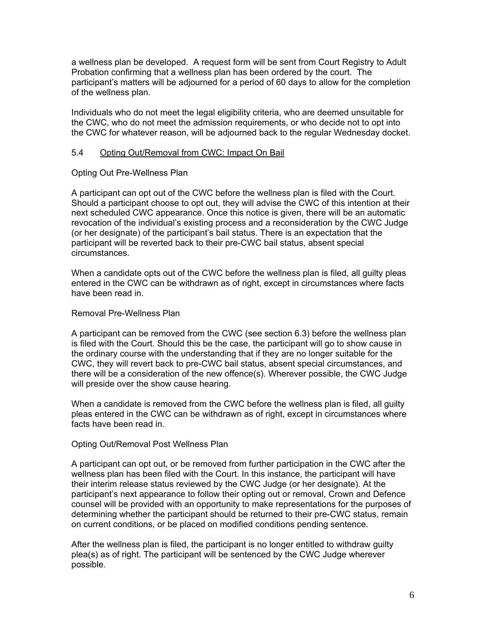a wellness plan be developed. A request form will be sent from Court Registry to Adult Probation confirming that a wellness plan has been ordered by the court. The participant's matters will be adjourned for a period of 60 days to allow for the completion of the wellness plan.

Individuals who do not meet the legal eligibility criteria, who are deemed unsuitable for the CWC, who do not meet the admission requirements, or who decide not to opt into the CWC for whatever reason, will be adjourned back to the regular Wednesday docket.

#### 5.4 Opting Out/Removal from CWC: Impact On Bail

#### Opting Out Pre-Wellness Plan

A participant can opt out of the CWC before the wellness plan is filed with the Court. Should a participant choose to opt out, they will advise the CWC of this intention at their next scheduled CWC appearance. Once this notice is given, there will be an automatic revocation of the individual's existing process and a reconsideration by the CWC Judge (or her designate) of the participant's bail status. There is an expectation that the participant will be reverted back to their pre-CWC bail status, absent special circumstances.

When a candidate opts out of the CWC before the wellness plan is filed, all guilty pleas entered in the CWC can be withdrawn as of right, except in circumstances where facts have been read in.

#### Removal Pre-Wellness Plan

A participant can be removed from the CWC (see section 6.3) before the wellness plan is filed with the Court. Should this be the case, the participant will go to show cause in the ordinary course with the understanding that if they are no longer suitable for the CWC, they will revert back to pre-CWC bail status, absent special circumstances, and there will be a consideration of the new offence(s). Wherever possible, the CWC Judge will preside over the show cause hearing.

When a candidate is removed from the CWC before the wellness plan is filed, all guilty pleas entered in the CWC can be withdrawn as of right, except in circumstances where facts have been read in.

#### Opting Out/Removal Post Wellness Plan

A participant can opt out, or be removed from further participation in the CWC after the wellness plan has been filed with the Court. In this instance, the participant will have their interim release status reviewed by the CWC Judge (or her designate). At the participant's next appearance to follow their opting out or removal, Crown and Defence counsel will be provided with an opportunity to make representations for the purposes of determining whether the participant should be returned to their pre-CWC status, remain on current conditions, or be placed on modified conditions pending sentence.

After the wellness plan is filed, the participant is no longer entitled to withdraw guilty plea(s) as of right. The participant will be sentenced by the CWC Judge wherever possible.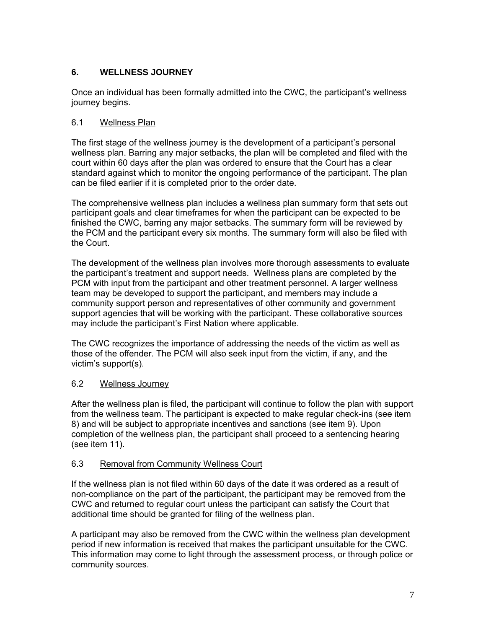## **6. WELLNESS JOURNEY**

Once an individual has been formally admitted into the CWC, the participant's wellness journey begins.

## 6.1 Wellness Plan

The first stage of the wellness journey is the development of a participant's personal wellness plan. Barring any major setbacks, the plan will be completed and filed with the court within 60 days after the plan was ordered to ensure that the Court has a clear standard against which to monitor the ongoing performance of the participant. The plan can be filed earlier if it is completed prior to the order date.

The comprehensive wellness plan includes a wellness plan summary form that sets out participant goals and clear timeframes for when the participant can be expected to be finished the CWC, barring any major setbacks. The summary form will be reviewed by the PCM and the participant every six months. The summary form will also be filed with the Court.

The development of the wellness plan involves more thorough assessments to evaluate the participant's treatment and support needs. Wellness plans are completed by the PCM with input from the participant and other treatment personnel. A larger wellness team may be developed to support the participant, and members may include a community support person and representatives of other community and government support agencies that will be working with the participant. These collaborative sources may include the participant's First Nation where applicable.

The CWC recognizes the importance of addressing the needs of the victim as well as those of the offender. The PCM will also seek input from the victim, if any, and the victim's support(s).

## 6.2 Wellness Journey

After the wellness plan is filed, the participant will continue to follow the plan with support from the wellness team. The participant is expected to make regular check-ins (see item 8) and will be subject to appropriate incentives and sanctions (see item 9). Upon completion of the wellness plan, the participant shall proceed to a sentencing hearing (see item 11).

#### 6.3 Removal from Community Wellness Court

If the wellness plan is not filed within 60 days of the date it was ordered as a result of non-compliance on the part of the participant, the participant may be removed from the CWC and returned to regular court unless the participant can satisfy the Court that additional time should be granted for filing of the wellness plan.

A participant may also be removed from the CWC within the wellness plan development period if new information is received that makes the participant unsuitable for the CWC. This information may come to light through the assessment process, or through police or community sources.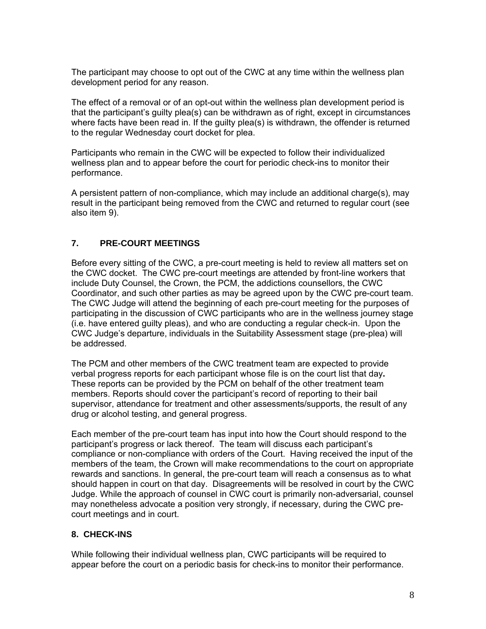The participant may choose to opt out of the CWC at any time within the wellness plan development period for any reason.

The effect of a removal or of an opt-out within the wellness plan development period is that the participant's guilty plea(s) can be withdrawn as of right, except in circumstances where facts have been read in. If the guilty plea(s) is withdrawn, the offender is returned to the regular Wednesday court docket for plea.

Participants who remain in the CWC will be expected to follow their individualized wellness plan and to appear before the court for periodic check-ins to monitor their performance.

A persistent pattern of non-compliance, which may include an additional charge(s), may result in the participant being removed from the CWC and returned to regular court (see also item 9).

## **7. PRE-COURT MEETINGS**

Before every sitting of the CWC, a pre-court meeting is held to review all matters set on the CWC docket. The CWC pre-court meetings are attended by front-line workers that include Duty Counsel, the Crown, the PCM, the addictions counsellors, the CWC Coordinator, and such other parties as may be agreed upon by the CWC pre-court team. The CWC Judge will attend the beginning of each pre-court meeting for the purposes of participating in the discussion of CWC participants who are in the wellness journey stage (i.e. have entered guilty pleas), and who are conducting a regular check-in. Upon the CWC Judge's departure, individuals in the Suitability Assessment stage (pre-plea) will be addressed.

The PCM and other members of the CWC treatment team are expected to provide verbal progress reports for each participant whose file is on the court list that day**.**  These reports can be provided by the PCM on behalf of the other treatment team members. Reports should cover the participant's record of reporting to their bail supervisor, attendance for treatment and other assessments/supports, the result of any drug or alcohol testing, and general progress.

Each member of the pre-court team has input into how the Court should respond to the participant's progress or lack thereof. The team will discuss each participant's compliance or non-compliance with orders of the Court. Having received the input of the members of the team, the Crown will make recommendations to the court on appropriate rewards and sanctions. In general, the pre-court team will reach a consensus as to what should happen in court on that day. Disagreements will be resolved in court by the CWC Judge. While the approach of counsel in CWC court is primarily non-adversarial, counsel may nonetheless advocate a position very strongly, if necessary, during the CWC precourt meetings and in court.

## **8. CHECK-INS**

While following their individual wellness plan, CWC participants will be required to appear before the court on a periodic basis for check-ins to monitor their performance.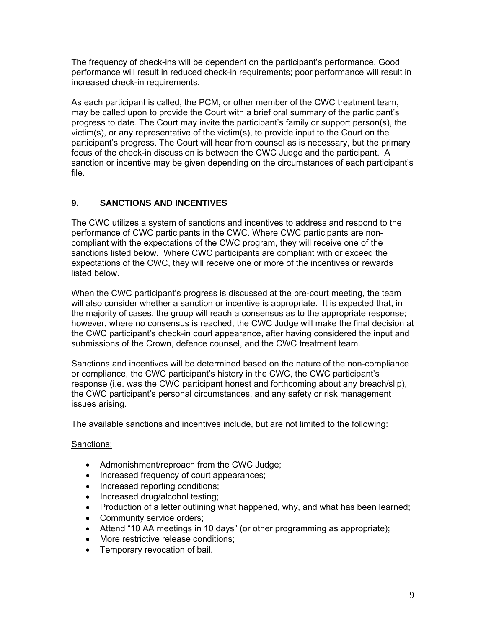The frequency of check-ins will be dependent on the participant's performance. Good performance will result in reduced check-in requirements; poor performance will result in increased check-in requirements.

As each participant is called, the PCM, or other member of the CWC treatment team, may be called upon to provide the Court with a brief oral summary of the participant's progress to date. The Court may invite the participant's family or support person(s), the victim(s), or any representative of the victim(s), to provide input to the Court on the participant's progress. The Court will hear from counsel as is necessary, but the primary focus of the check-in discussion is between the CWC Judge and the participant. A sanction or incentive may be given depending on the circumstances of each participant's file.

# **9. SANCTIONS AND INCENTIVES**

The CWC utilizes a system of sanctions and incentives to address and respond to the performance of CWC participants in the CWC. Where CWC participants are noncompliant with the expectations of the CWC program, they will receive one of the sanctions listed below. Where CWC participants are compliant with or exceed the expectations of the CWC, they will receive one or more of the incentives or rewards listed below.

When the CWC participant's progress is discussed at the pre-court meeting, the team will also consider whether a sanction or incentive is appropriate. It is expected that, in the majority of cases, the group will reach a consensus as to the appropriate response; however, where no consensus is reached, the CWC Judge will make the final decision at the CWC participant's check-in court appearance, after having considered the input and submissions of the Crown, defence counsel, and the CWC treatment team.

Sanctions and incentives will be determined based on the nature of the non-compliance or compliance, the CWC participant's history in the CWC, the CWC participant's response (i.e. was the CWC participant honest and forthcoming about any breach/slip), the CWC participant's personal circumstances, and any safety or risk management issues arising.

The available sanctions and incentives include, but are not limited to the following:

#### Sanctions:

- Admonishment/reproach from the CWC Judge;
- Increased frequency of court appearances;
- Increased reporting conditions:
- Increased drug/alcohol testing;
- Production of a letter outlining what happened, why, and what has been learned;
- Community service orders;
- Attend "10 AA meetings in 10 days" (or other programming as appropriate);
- More restrictive release conditions;
- Temporary revocation of bail.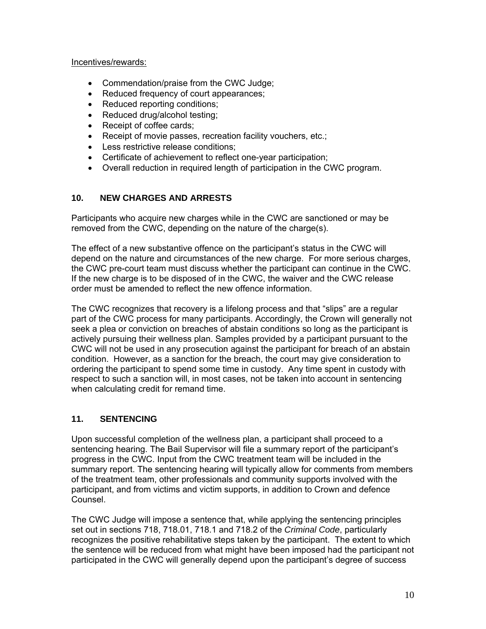#### Incentives/rewards:

- Commendation/praise from the CWC Judge;
- Reduced frequency of court appearances;
- Reduced reporting conditions;
- Reduced drug/alcohol testing;
- Receipt of coffee cards;
- Receipt of movie passes, recreation facility vouchers, etc.;
- Less restrictive release conditions;
- Certificate of achievement to reflect one-year participation;
- Overall reduction in required length of participation in the CWC program.

## **10. NEW CHARGES AND ARRESTS**

Participants who acquire new charges while in the CWC are sanctioned or may be removed from the CWC, depending on the nature of the charge(s).

The effect of a new substantive offence on the participant's status in the CWC will depend on the nature and circumstances of the new charge. For more serious charges, the CWC pre-court team must discuss whether the participant can continue in the CWC. If the new charge is to be disposed of in the CWC, the waiver and the CWC release order must be amended to reflect the new offence information.

The CWC recognizes that recovery is a lifelong process and that "slips" are a regular part of the CWC process for many participants. Accordingly, the Crown will generally not seek a plea or conviction on breaches of abstain conditions so long as the participant is actively pursuing their wellness plan. Samples provided by a participant pursuant to the CWC will not be used in any prosecution against the participant for breach of an abstain condition. However, as a sanction for the breach, the court may give consideration to ordering the participant to spend some time in custody. Any time spent in custody with respect to such a sanction will, in most cases, not be taken into account in sentencing when calculating credit for remand time.

# **11. SENTENCING**

Upon successful completion of the wellness plan, a participant shall proceed to a sentencing hearing. The Bail Supervisor will file a summary report of the participant's progress in the CWC. Input from the CWC treatment team will be included in the summary report. The sentencing hearing will typically allow for comments from members of the treatment team, other professionals and community supports involved with the participant, and from victims and victim supports, in addition to Crown and defence Counsel.

The CWC Judge will impose a sentence that, while applying the sentencing principles set out in sections 718, 718.01, 718.1 and 718.2 of the *Criminal Code*, particularly recognizes the positive rehabilitative steps taken by the participant. The extent to which the sentence will be reduced from what might have been imposed had the participant not participated in the CWC will generally depend upon the participant's degree of success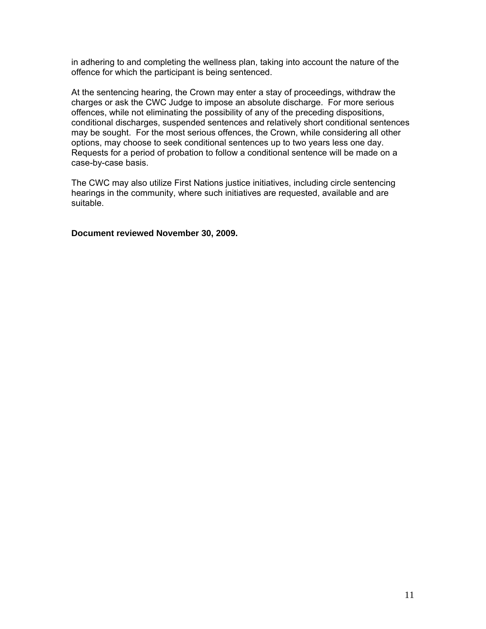in adhering to and completing the wellness plan, taking into account the nature of the offence for which the participant is being sentenced.

At the sentencing hearing, the Crown may enter a stay of proceedings, withdraw the charges or ask the CWC Judge to impose an absolute discharge. For more serious offences, while not eliminating the possibility of any of the preceding dispositions, conditional discharges, suspended sentences and relatively short conditional sentences may be sought. For the most serious offences, the Crown, while considering all other options, may choose to seek conditional sentences up to two years less one day. Requests for a period of probation to follow a conditional sentence will be made on a case-by-case basis.

The CWC may also utilize First Nations justice initiatives, including circle sentencing hearings in the community, where such initiatives are requested, available and are suitable.

**Document reviewed November 30, 2009.**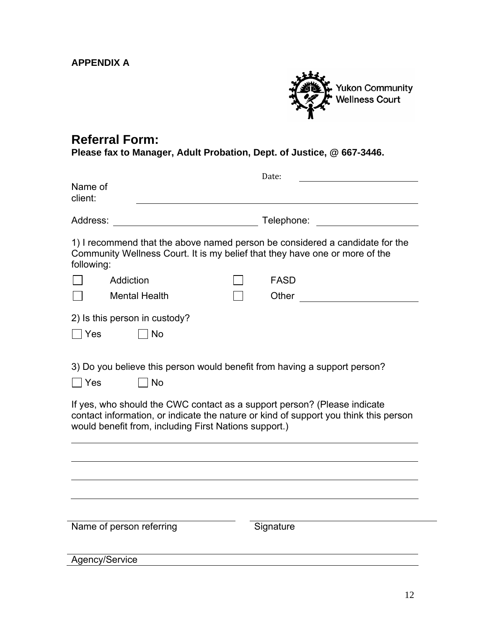**APPENDIX A** 



# **Referral Form:**

**Please fax to Manager, Adult Probation, Dept. of Justice, @ 667-3446.** 

|                                                                                                                                                                                                                                                                                                                              | Date:                                                                                                          |
|------------------------------------------------------------------------------------------------------------------------------------------------------------------------------------------------------------------------------------------------------------------------------------------------------------------------------|----------------------------------------------------------------------------------------------------------------|
| Name of<br>client:                                                                                                                                                                                                                                                                                                           |                                                                                                                |
| Address:                                                                                                                                                                                                                                                                                                                     | Telephone: The Contract of The Contract of The Contract of The Contract of The Contract of The Contract of The |
| 1) I recommend that the above named person be considered a candidate for the<br>Community Wellness Court. It is my belief that they have one or more of the<br>following:                                                                                                                                                    |                                                                                                                |
| Addiction                                                                                                                                                                                                                                                                                                                    | <b>FASD</b>                                                                                                    |
| <b>Mental Health</b>                                                                                                                                                                                                                                                                                                         | Other                                                                                                          |
| 2) Is this person in custody?                                                                                                                                                                                                                                                                                                |                                                                                                                |
| Yes<br>  No                                                                                                                                                                                                                                                                                                                  |                                                                                                                |
| 3) Do you believe this person would benefit from having a support person?<br><b>No</b><br>  Yes<br>If yes, who should the CWC contact as a support person? (Please indicate<br>contact information, or indicate the nature or kind of support you think this person<br>would benefit from, including First Nations support.) |                                                                                                                |
|                                                                                                                                                                                                                                                                                                                              |                                                                                                                |
|                                                                                                                                                                                                                                                                                                                              |                                                                                                                |
|                                                                                                                                                                                                                                                                                                                              |                                                                                                                |
|                                                                                                                                                                                                                                                                                                                              |                                                                                                                |
| Name of person referring                                                                                                                                                                                                                                                                                                     | Signature                                                                                                      |
| Agency/Service                                                                                                                                                                                                                                                                                                               |                                                                                                                |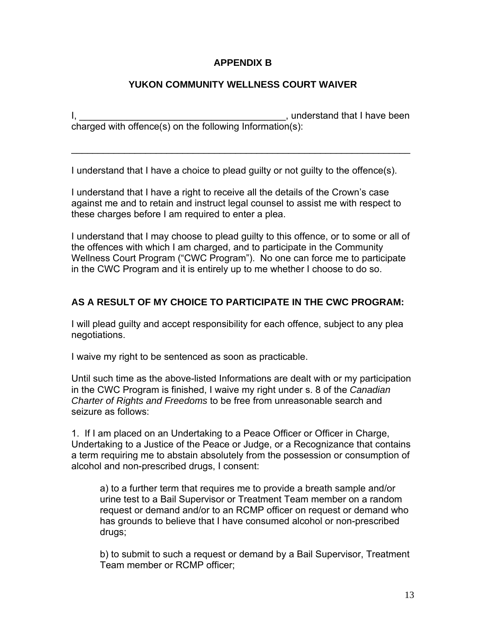# **APPENDIX B**

# **YUKON COMMUNITY WELLNESS COURT WAIVER**

I, the contraction of the contraction of the contraction of the contraction of the contraction of the contraction of the contraction of the contraction of the contraction of the contraction of the contraction of the contra charged with offence(s) on the following Information(s):

 $\mathcal{L}_\text{max}$  and  $\mathcal{L}_\text{max}$  and  $\mathcal{L}_\text{max}$  and  $\mathcal{L}_\text{max}$  and  $\mathcal{L}_\text{max}$  and  $\mathcal{L}_\text{max}$ 

I understand that I have a choice to plead guilty or not guilty to the offence(s).

I understand that I have a right to receive all the details of the Crown's case against me and to retain and instruct legal counsel to assist me with respect to these charges before I am required to enter a plea.

I understand that I may choose to plead guilty to this offence, or to some or all of the offences with which I am charged, and to participate in the Community Wellness Court Program ("CWC Program"). No one can force me to participate in the CWC Program and it is entirely up to me whether I choose to do so.

# **AS A RESULT OF MY CHOICE TO PARTICIPATE IN THE CWC PROGRAM:**

I will plead guilty and accept responsibility for each offence, subject to any plea negotiations.

I waive my right to be sentenced as soon as practicable.

Until such time as the above-listed Informations are dealt with or my participation in the CWC Program is finished, I waive my right under s. 8 of the *Canadian Charter of Rights and Freedoms* to be free from unreasonable search and seizure as follows:

1. If I am placed on an Undertaking to a Peace Officer or Officer in Charge, Undertaking to a Justice of the Peace or Judge, or a Recognizance that contains a term requiring me to abstain absolutely from the possession or consumption of alcohol and non-prescribed drugs, I consent:

a) to a further term that requires me to provide a breath sample and/or urine test to a Bail Supervisor or Treatment Team member on a random request or demand and/or to an RCMP officer on request or demand who has grounds to believe that I have consumed alcohol or non-prescribed drugs;

b) to submit to such a request or demand by a Bail Supervisor, Treatment Team member or RCMP officer;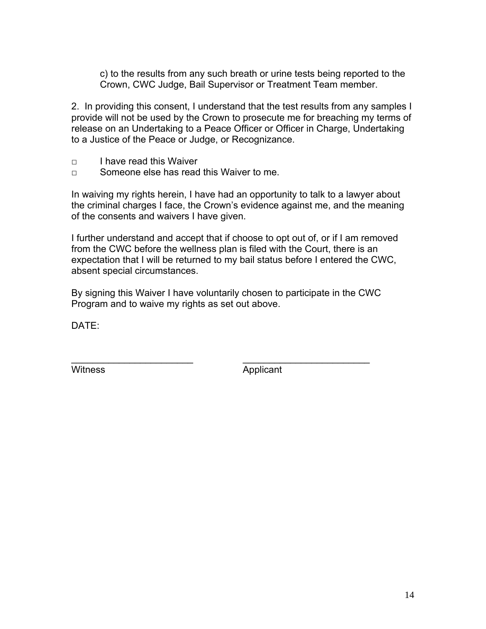c) to the results from any such breath or urine tests being reported to the Crown, CWC Judge, Bail Supervisor or Treatment Team member.

2. In providing this consent, I understand that the test results from any samples I provide will not be used by the Crown to prosecute me for breaching my terms of release on an Undertaking to a Peace Officer or Officer in Charge, Undertaking to a Justice of the Peace or Judge, or Recognizance.

- □ I have read this Waiver
- $\neg$  Someone else has read this Waiver to me.

In waiving my rights herein, I have had an opportunity to talk to a lawyer about the criminal charges I face, the Crown's evidence against me, and the meaning of the consents and waivers I have given.

I further understand and accept that if choose to opt out of, or if I am removed from the CWC before the wellness plan is filed with the Court, there is an expectation that I will be returned to my bail status before I entered the CWC, absent special circumstances.

By signing this Waiver I have voluntarily chosen to participate in the CWC Program and to waive my rights as set out above.

\_\_\_\_\_\_\_\_\_\_\_\_\_\_\_\_\_\_\_\_\_\_\_ \_\_\_\_\_\_\_\_\_\_\_\_\_\_\_\_\_\_\_\_\_\_\_\_

DATE:

Witness Applicant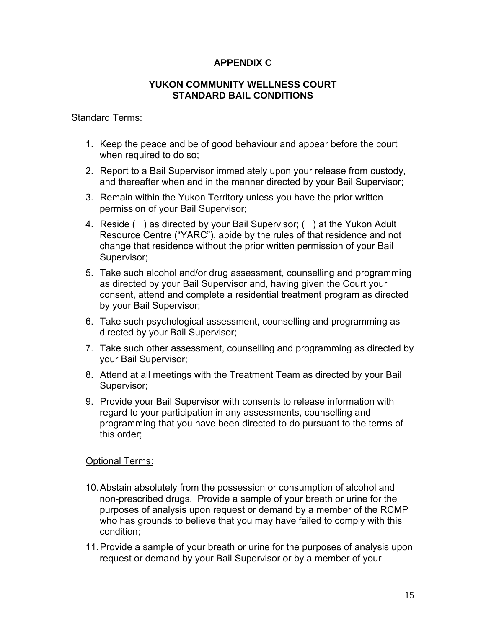# **APPENDIX C**

## **YUKON COMMUNITY WELLNESS COURT STANDARD BAIL CONDITIONS**

## **Standard Terms:**

- 1. Keep the peace and be of good behaviour and appear before the court when required to do so;
- 2. Report to a Bail Supervisor immediately upon your release from custody, and thereafter when and in the manner directed by your Bail Supervisor;
- 3. Remain within the Yukon Territory unless you have the prior written permission of your Bail Supervisor;
- 4. Reside ( ) as directed by your Bail Supervisor; ( ) at the Yukon Adult Resource Centre ("YARC"), abide by the rules of that residence and not change that residence without the prior written permission of your Bail Supervisor;
- 5. Take such alcohol and/or drug assessment, counselling and programming as directed by your Bail Supervisor and, having given the Court your consent, attend and complete a residential treatment program as directed by your Bail Supervisor;
- 6. Take such psychological assessment, counselling and programming as directed by your Bail Supervisor;
- 7. Take such other assessment, counselling and programming as directed by your Bail Supervisor;
- 8. Attend at all meetings with the Treatment Team as directed by your Bail Supervisor;
- 9. Provide your Bail Supervisor with consents to release information with regard to your participation in any assessments, counselling and programming that you have been directed to do pursuant to the terms of this order;

## Optional Terms:

- 10. Abstain absolutely from the possession or consumption of alcohol and non-prescribed drugs. Provide a sample of your breath or urine for the purposes of analysis upon request or demand by a member of the RCMP who has grounds to believe that you may have failed to comply with this condition;
- 11. Provide a sample of your breath or urine for the purposes of analysis upon request or demand by your Bail Supervisor or by a member of your